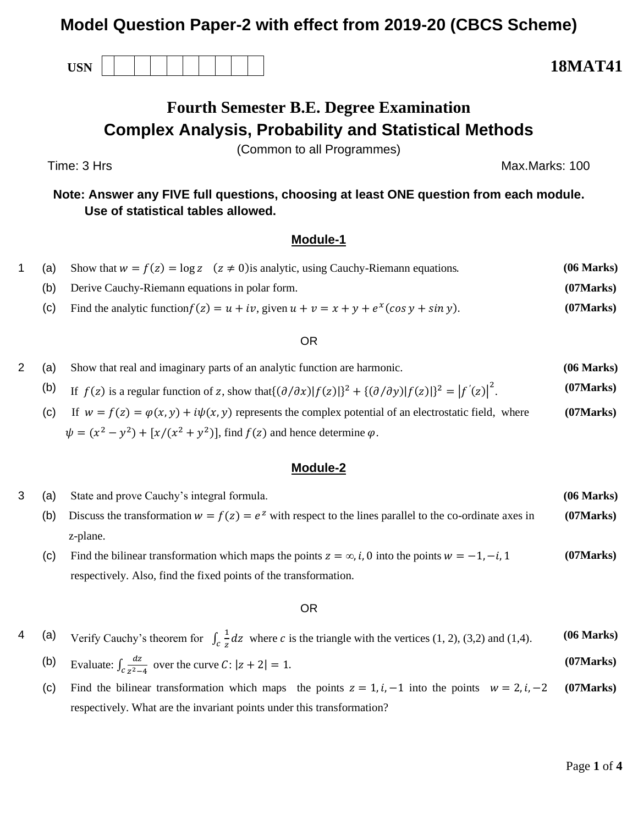## **Model Question Paper-2 with effect from 2019-20 (CBCS Scheme)**

**USN 18MAT41**

# **Fourth Semester B.E. Degree Examination Complex Analysis, Probability and Statistical Methods**

(Common to all Programmes)

Time: 3 Hrs Max.Marks: 100

**Note: Answer any FIVE full questions, choosing at least ONE question from each module. Use of statistical tables allowed.**

### **Module-1**

| (a) | Show that $w = f(z) = \log z$ $(z \neq 0)$ is analytic, using Cauchy-Riemann equations.       | (06 Marks) |
|-----|-----------------------------------------------------------------------------------------------|------------|
|     | (b) Derive Cauchy-Riemann equations in polar form.                                            | (07 Marks) |
|     | Find the analytic function $f(z) = u + iv$ , given $u + v = x + y + e^{x}(\cos y + \sin y)$ . | (07 Marks) |

#### OR

- 2 (a) Show that real and imaginary parts of an analytic function are harmonic. **(06 Marks)** (b) If  $f(z)$  is a regular function of z, show that  $\{(\partial/\partial x)|f(z)|\}^2 + \{(\partial/\partial y)|f(z)|\}^2 = |f'(z)|^2$ . **(07Marks)**
	- (c) If  $w = f(z) = \varphi(x, y) + i\psi(x, y)$  represents the complex potential of an electrostatic field, where  $\psi = (x^2 - y^2) + [x/(x^2 + y^2)]$ , find  $f(z)$  and hence determine  $\varphi$ . **(07Marks)**

#### **Module-2**

| (a) | State and prove Cauchy's integral formula.                                                                         | (06 Marks) |
|-----|--------------------------------------------------------------------------------------------------------------------|------------|
| (b) | Discuss the transformation $w = f(z) = e^z$ with respect to the lines parallel to the co-ordinate axes in          | (07 Marks) |
|     | z-plane.                                                                                                           |            |
| (C) | Find the bilinear transformation which maps the points $z = \infty$ , <i>i</i> , 0 into the points $w = -1, -i, 1$ | (07 Marks) |
|     | respectively. Also, find the fixed points of the transformation.                                                   |            |

#### OR

#### 4 (a) Verify Cauchy's theorem for  $\int_c \frac{1}{a}$  $\int_{c}^{1} \frac{1}{z} dz$  where *c* is the triangle with the vertices (1, 2), (3,2) and (1,4). **(06 Marks)**

- (b) Evaluate:  $\int_{c} \frac{dz}{z^2}$  $\int_{c} \frac{dz}{z^2-4}$  over the curve  $C: |z+2|=1$ . **(07Marks)**
- (c) Find the bilinear transformation which maps the points  $z = 1, i, -1$  into the points  $w = 2, i, -2$ respectively. What are the invariant points under this transformation? **(07Marks)**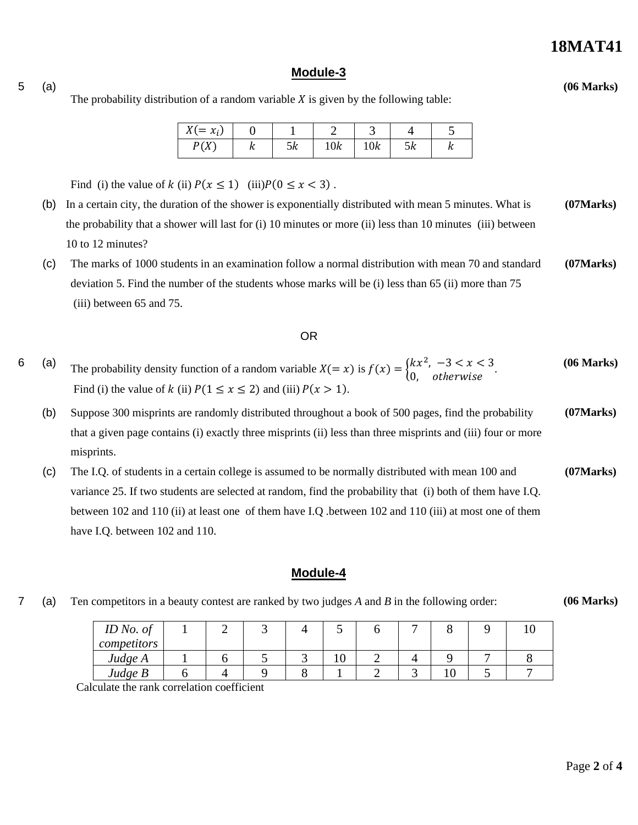### **18MAT41**

#### **Module-3**

The probability distribution of a random variable  $X$  is given by the following table:

| $X(=x_i)$    | ິ   |    |     |     |    |   |
|--------------|-----|----|-----|-----|----|---|
| D(V)<br>17 I | 1 L | эκ | 10k | 10k | эκ | " |

Find (i) the value of k (ii)  $P(x \le 1)$  (iii) $P(0 \le x < 3)$ .

5 (a)

- (b) In a certain city, the duration of the shower is exponentially distributed with mean 5 minutes. What is the probability that a shower will last for (i) 10 minutes or more (ii) less than 10 minutes (iii) between 10 to 12 minutes? **(07Marks)**
- (c) The marks of 1000 students in an examination follow a normal distribution with mean 70 and standard deviation 5. Find the number of the students whose marks will be (i) less than 65 (ii) more than 75 (iii) between 65 and 75. **(07Marks)**

#### OR

- 6 (a) The probability density function of a random variable  $X(= x)$  is  $f(x) = \begin{cases} kx^2, & -3 < x < 3 \\ 0, & \text{otherwise} \end{cases}$ . Find (i) the value of  $k$  (ii)  $P(1 \le x \le 2)$  and (iii)  $P(x > 1)$ . **(06 Marks)**
	- (b) Suppose 300 misprints are randomly distributed throughout a book of 500 pages, find the probability that a given page contains (i) exactly three misprints (ii) less than three misprints and (iii) four or more misprints. **(07Marks)**
	- (c) The I.Q. of students in a certain college is assumed to be normally distributed with mean 100 and variance 25. If two students are selected at random, find the probability that (i) both of them have I.Q. between 102 and 110 (ii) at least one of them have I.Q .between 102 and 110 (iii) at most one of them have I.Q. between 102 and 110. **(07Marks)**

#### **Module-4**

7 (a) Ten competitors in a beauty contest are ranked by two judges *A* and *B* in the following order:

Calculate the rank correlation coefficient

| ID No. of   |  |   | . . |  |    | ΙU |
|-------------|--|---|-----|--|----|----|
| competitors |  |   |     |  |    |    |
| Judge A     |  | ັ | ιv  |  |    |    |
| Judge $B$   |  |   |     |  | ιv |    |

**(06 Marks)**

**(06 Marks)**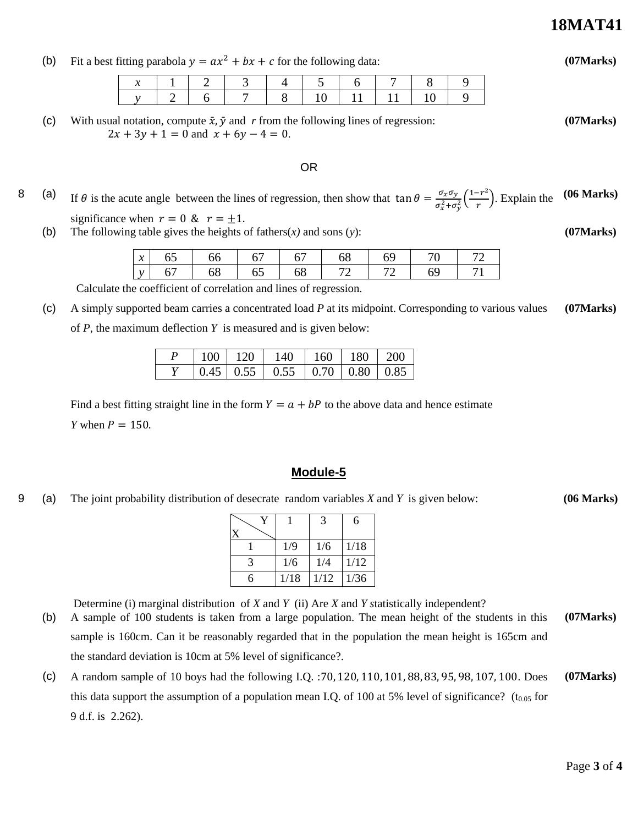Page **3** of **4**

### **18MAT41**

(b) Fit a best fitting parabola  $y = ax^2 + bx + c$  for the following data:

|  |  | $x$   1   2   3   4   5   6   7   8   9 |  |  |  |
|--|--|-----------------------------------------|--|--|--|
|  |  | v 2 6 7 8 10 11 11 10 9                 |  |  |  |

(c) With usual notation, compute  $\bar{x}$ ,  $\bar{y}$  and r from the following lines of regression:  $2x + 3y + 1 = 0$  and  $x + 6y - 4 = 0$ .

#### OR

8 (a) If  $\theta$  is the acute angle between the lines of regression, then show that  $\tan \theta = \frac{\sigma_x \sigma_y}{\sigma_z^2}$  $\frac{\sigma_x \sigma_y}{\sigma_x^2 + \sigma_y^2} \left( \frac{1 - r^2}{r} \right)$  $\frac{r}{r}$ ). Explain the **(06 Marks)**

significance when  $r = 0$  &  $r = \pm 1$ .

(b) The following table gives the heights of fathers(*x)* and sons (*y*):

| $\mathbf{r}$<br>$\lambda$ | 02 | 66 | 6  | 67 | 68 | 64 |    |  |
|---------------------------|----|----|----|----|----|----|----|--|
| $\mathcal{N}$             | h  | 68 | 65 | 68 |    |    | 64 |  |

Calculate the coefficient of correlation and lines of regression.

(c) A simply supported beam carries a concentrated load *P* at its midpoint. Corresponding to various values of *P,* the maximum deflection *Y* is measured and is given below: **(07Marks)**

| 100- | $-120$ | -140                                                          | $160 \pm 180 \pm 200$ |  |
|------|--------|---------------------------------------------------------------|-----------------------|--|
|      |        | $0.45 \mid 0.55 \mid 0.55 \mid 0.70 \mid 0.80 \mid 0.85 \mid$ |                       |  |

Find a best fitting straight line in the form  $Y = a + bP$  to the above data and hence estimate *Y* when  $P = 150$ .

#### **Module-5**

9 (a) The joint probability distribution of desecrate random variables *X* and *Y* is given below: **(06 Marks)**

|   |      | 3    | 6    |
|---|------|------|------|
|   | 1/9  | 1/6  | 1/18 |
| 3 | 1/6  | 1/4  | 1/12 |
| 6 | 1/18 | 1/12 | 1/36 |

Determine (i) marginal distribution of *X* and *Y* (ii) Are *X* and *Y s*tatistically independent?

- (b) A sample of 100 students is taken from a large population. The mean height of the students in this sample is 160cm. Can it be reasonably regarded that in the population the mean height is 165cm and the standard deviation is 10cm at 5% level of significance?. **(07Marks)**
- (c) A random sample of 10 boys had the following I.Q. :70, 120, 110, 101, 88, 83, 95, 98, 107, 100. Does this data support the assumption of a population mean I.Q. of 100 at 5% level of significance? ( $t_{0.05}$  for 9 d.f. is 2.262). **(07Marks)**



**(07Marks)**

**(07Marks)**